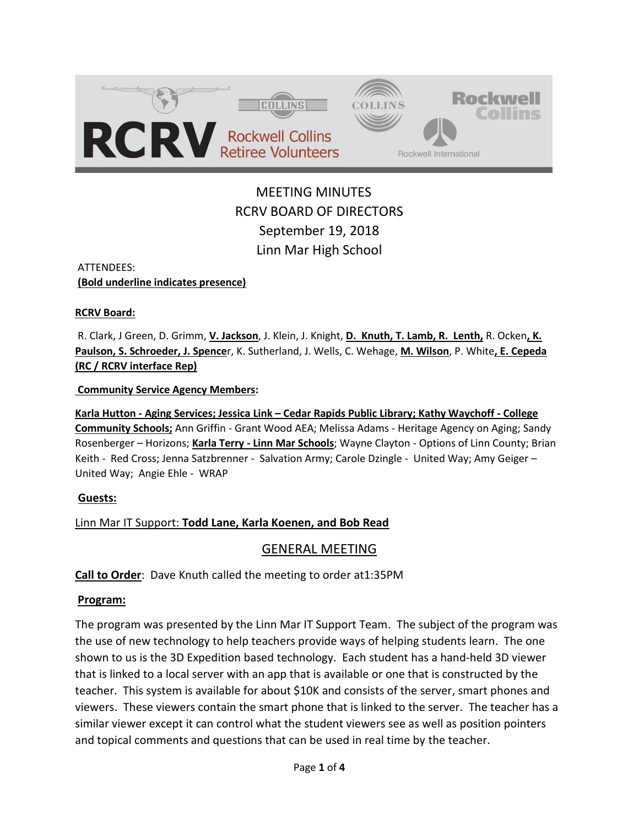

# MEETING MINUTES RCRV BOARD OF DIRECTORS September 19, 2018 Linn Mar High School

#### ATTENDEES: **(Bold underline indicates presence)**

### **RCRV Board:**

R. Clark, J Green, D. Grimm, **V. Jackson**, J. Klein, J. Knight, **D. Knuth, T. Lamb, R. Lenth,** R. Ocken**, K. Paulson, S. Schroeder, J. Spence**r, K. Sutherland, J. Wells, C. Wehage, **M. Wilson**, P. White**, E. Cepeda (RC / RCRV interface Rep)**

#### **Community Service Agency Members:**

**Karla Hutton - Aging Services; Jessica Link – Cedar Rapids Public Library; Kathy Waychoff - College Community Schools;** Ann Griffin - Grant Wood AEA; Melissa Adams - Heritage Agency on Aging; Sandy Rosenberger – Horizons; **Karla Terry - Linn Mar Schools**; Wayne Clayton - Options of Linn County; Brian Keith - Red Cross; Jenna Satzbrenner - Salvation Army; Carole Dzingle - United Way; Amy Geiger – United Way; Angie Ehle - WRAP

### **Guests:**

### Linn Mar IT Support: **Todd Lane, Karla Koenen, and Bob Read**

# GENERAL MEETING

**Call to Order**: Dave Knuth called the meeting to order at1:35PM

### **Program:**

The program was presented by the Linn Mar IT Support Team. The subject of the program was the use of new technology to help teachers provide ways of helping students learn. The one shown to us is the 3D Expedition based technology. Each student has a hand-held 3D viewer that is linked to a local server with an app that is available or one that is constructed by the teacher. This system is available for about \$10K and consists of the server, smart phones and viewers. These viewers contain the smart phone that is linked to the server. The teacher has a similar viewer except it can control what the student viewers see as well as position pointers and topical comments and questions that can be used in real time by the teacher.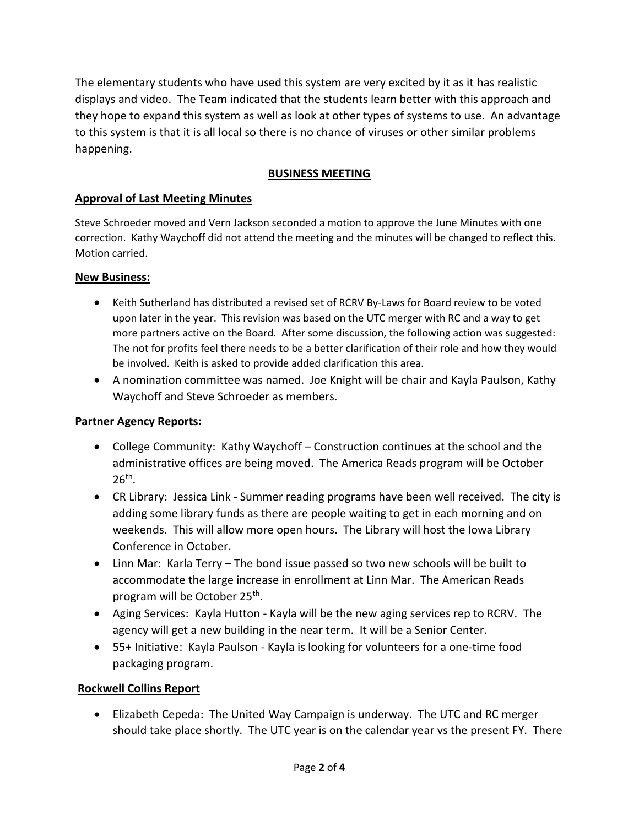The elementary students who have used this system are very excited by it as it has realistic displays and video. The Team indicated that the students learn better with this approach and they hope to expand this system as well as look at other types of systems to use. An advantage to this system is that it is all local so there is no chance of viruses or other similar problems happening.

## **BUSINESS MEETING**

## **Approval of Last Meeting Minutes**

Steve Schroeder moved and Vern Jackson seconded a motion to approve the June Minutes with one correction. Kathy Waychoff did not attend the meeting and the minutes will be changed to reflect this. Motion carried.

## **New Business:**

- Keith Sutherland has distributed a revised set of RCRV By-Laws for Board review to be voted upon later in the year. This revision was based on the UTC merger with RC and a way to get more partners active on the Board. After some discussion, the following action was suggested: The not for profits feel there needs to be a better clarification of their role and how they would be involved. Keith is asked to provide added clarification this area.
- A nomination committee was named. Joe Knight will be chair and Kayla Paulson, Kathy Waychoff and Steve Schroeder as members.

# **Partner Agency Reports:**

- College Community: Kathy Waychoff Construction continues at the school and the administrative offices are being moved. The America Reads program will be October  $26<sup>th</sup>$ .
- CR Library: Jessica Link Summer reading programs have been well received. The city is adding some library funds as there are people waiting to get in each morning and on weekends. This will allow more open hours. The Library will host the Iowa Library Conference in October.
- Linn Mar: Karla Terry The bond issue passed so two new schools will be built to accommodate the large increase in enrollment at Linn Mar. The American Reads program will be October 25<sup>th</sup>.
- Aging Services: Kayla Hutton Kayla will be the new aging services rep to RCRV. The agency will get a new building in the near term. It will be a Senior Center.
- 55+ Initiative: Kayla Paulson Kayla is looking for volunteers for a one-time food packaging program.

# **Rockwell Collins Report**

• Elizabeth Cepeda: The United Way Campaign is underway. The UTC and RC merger should take place shortly. The UTC year is on the calendar year vs the present FY. There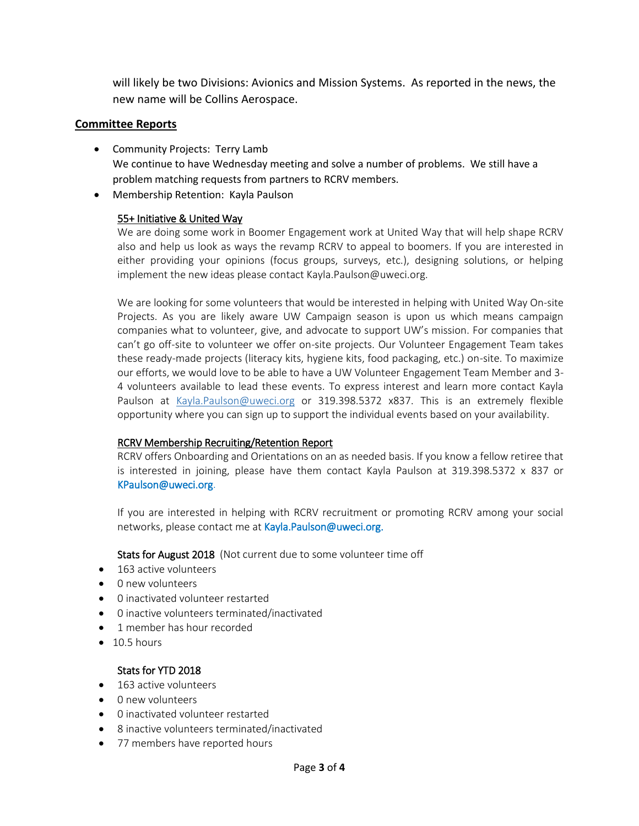will likely be two Divisions: Avionics and Mission Systems. As reported in the news, the new name will be Collins Aerospace.

#### **Committee Reports**

- Community Projects: Terry Lamb We continue to have Wednesday meeting and solve a number of problems. We still have a problem matching requests from partners to RCRV members.
- Membership Retention: Kayla Paulson

#### 55+ Initiative & United Way

We are doing some work in Boomer Engagement work at United Way that will help shape RCRV also and help us look as ways the revamp RCRV to appeal to boomers. If you are interested in either providing your opinions (focus groups, surveys, etc.), designing solutions, or helping implement the new ideas please contact Kayla.Paulson@uweci.org.

We are looking for some volunteers that would be interested in helping with United Way On-site Projects. As you are likely aware UW Campaign season is upon us which means campaign companies what to volunteer, give, and advocate to support UW's mission. For companies that can't go off-site to volunteer we offer on-site projects. Our Volunteer Engagement Team takes these ready-made projects (literacy kits, hygiene kits, food packaging, etc.) on-site. To maximize our efforts, we would love to be able to have a UW Volunteer Engagement Team Member and 3- 4 volunteers available to lead these events. To express interest and learn more contact Kayla Paulson at [Kayla.Paulson@uweci.org](mailto:Kayla.Paulson@uweci.org) or 319.398.5372 x837. This is an extremely flexible opportunity where you can sign up to support the individual events based on your availability.

#### RCRV Membership Recruiting/Retention Report

RCRV offers Onboarding and Orientations on an as needed basis. If you know a fellow retiree that is interested in joining, please have them contact Kayla Paulson at 319.398.5372 x 837 or KPaulson@uweci.org.

If you are interested in helping with RCRV recruitment or promoting RCRV among your social networks, please contact me at Kayla.Paulson@uweci.org.

Stats for August 2018 (Not current due to some volunteer time off

- 163 active volunteers
- 0 new volunteers
- 0 inactivated volunteer restarted
- 0 inactive volunteers terminated/inactivated
- 1 member has hour recorded
- $\bullet$  10.5 hours

#### Stats for YTD 2018

- 163 active volunteers
- 0 new volunteers
- 0 inactivated volunteer restarted
- 8 inactive volunteers terminated/inactivated
- 77 members have reported hours